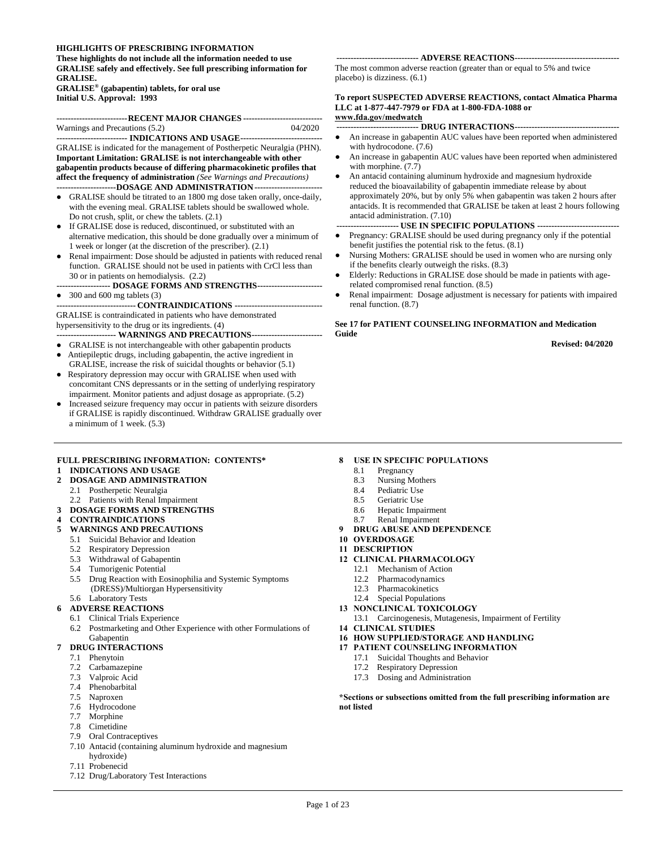#### **HIGHLIGHTS OF PRESCRIBING INFORMATION**

**These highlights do not include all the information needed to use GRALISE safely and effectively. See full prescribing information for GRALISE.**

**GRALISE® (gabapentin) tablets, for oral use Initial U.S. Approval: 1993**

| -------------------------RECENT MAJOR CHANGES ---------------------------- |         |  |  |
|----------------------------------------------------------------------------|---------|--|--|
| Warnings and Precautions (5.2)                                             | 04/2020 |  |  |
|                                                                            |         |  |  |

**------------------------- INDICATIONS AND USAGE-----------------------------** GRALISE is indicated for the management of Postherpetic Neuralgia (PHN). **Important Limitation: GRALISE is not interchangeable with other gabapentin products because of differing pharmacokinetic profiles that affect the frequency of administration** *(See Warnings and Precautions)* **---------------------DOSAGE AND ADMINISTRATION------------------------**

- GRALISE should be titrated to an 1800 mg dose taken orally, once-daily, with the evening meal. GRALISE tablets should be swallowed whole. Do not crush, split, or chew the tablets. (2.1)
- If GRALISE dose is reduced, discontinued, or substituted with an alternative medication, this should be done gradually over a minimum of 1 week or longer (at the discretion of the prescriber). (2.1)
- Renal impairment: Dose should be adjusted in patients with reduced renal function. GRALISE should not be used in patients with CrCl less than 30 or in patients on hemodialysis. (2.2)
- **------------------- DOSAGE FORMS AND STRENGTHS-----------------------**
- 300 and 600 mg tablets (3)

**---------------------------- CONTRAINDICATIONS -------------------------------** GRALISE is contraindicated in patients who have demonstrated hypersensitivity to the drug or its ingredients. (4)

- **--------------------- WARNINGS AND PRECAUTIONS-------------------------**
- GRALISE is not interchangeable with other gabapentin products
- Antiepileptic drugs, including gabapentin, the active ingredient in GRALISE, increase the risk of suicidal thoughts or behavior (5.1)
- Respiratory depression may occur with GRALISE when used with concomitant CNS depressants or in the setting of underlying respiratory impairment. Monitor patients and adjust dosage as appropriate. (5.2)
- Increased seizure frequency may occur in patients with seizure disorders if GRALISE is rapidly discontinued. Withdraw GRALISE gradually over a minimum of 1 week. (5.3)

#### **FULL PRESCRIBING INFORMATION: CONTENTS\***

#### **1 INDICATIONS AND USAGE**

#### **2 DOSAGE AND ADMINISTRATION**

- 2.1 Postherpetic Neuralgia
	- 2.2 Patients with Renal Impairment
- **3 DOSAGE FORMS AND STRENGTHS**

#### **4 CONTRAINDICATIONS**

- **5 WARNINGS AND PRECAUTIONS**
- 5.1 Suicidal Behavior and Ideation
- 5.2 Respiratory Depression
- 5.3 Withdrawal of Gabapentin
- 5.4 Tumorigenic Potential
- 5.5 Drug Reaction with Eosinophilia and Systemic Symptoms (DRESS)/Multiorgan Hypersensitivity
- 5.6 Laboratory Tests
- **6 ADVERSE REACTIONS**
	- 6.1 Clinical Trials Experience
	- 6.2 Postmarketing and Other Experience with other Formulations of Gabapentin

#### **7 DRUG INTERACTIONS**

- 7.1 Phenytoin
- 7.2 Carbamazepine
- 7.3 Valproic Acid
- 7.4 Phenobarbital
- 7.5 Naproxen
- 7.6 Hydrocodone
- 7.7 Morphine
- 7.8 Cimetidine
- 7.9 Oral Contraceptives
- 7.10 Antacid (containing aluminum hydroxide and magnesium hydroxide)
- 7.11 Probenecid
- 7.12 Drug/Laboratory Test Interactions

#### **----------------------------- ADVERSE REACTIONS-------------------------------------**

The most common adverse reaction (greater than or equal to 5% and twice placebo) is dizziness. (6.1)

#### **To report SUSPECTED ADVERSE REACTIONS, contact Almatica Pharma LLC at 1-877-447-7979 or FDA at 1-800-FDA-1088 or www.fda.gov/medwatch**

**----------------------------- DRUG INTERACTIONS-------------------------------------**

- An increase in gabapentin AUC values have been reported when administered with hydrocodone. (7.6)
- An increase in gabapentin AUC values have been reported when administered with morphine. (7.7)
- An antacid containing aluminum hydroxide and magnesium hydroxide reduced the bioavailability of gabapentin immediate release by about approximately 20%, but by only 5% when gabapentin was taken 2 hours after antacids. It is recommended that GRALISE be taken at least 2 hours following antacid administration. (7.10)
- **---------------------- USE IN SPECIFIC POPULATIONS -----------------------------**
- Pregnancy: GRALISE should be used during pregnancy only if the potential benefit justifies the potential risk to the fetus. (8.1)
- Nursing Mothers: GRALISE should be used in women who are nursing only if the benefits clearly outweigh the risks. (8.3)
- Elderly: Reductions in GRALISE dose should be made in patients with agerelated compromised renal function. (8.5)
- Renal impairment: Dosage adjustment is necessary for patients with impaired renal function. (8.7)

#### **See 17 for PATIENT COUNSELING INFORMATION and Medication Guide**

**Revised: 04/2020**

#### **8 USE IN SPECIFIC POPULATIONS**

- 8.1 Pregnancy
- 8.3 Nursing Mothers
- 8.4 Pediatric Use<br>8.5 Geriatric Use
- Geriatric Use
- 8.6 Hepatic Impairment
- 8.7 Renal Impairment
- **9 DRUG ABUSE AND DEPENDENCE**
- **10 OVERDOSAGE**
- **11 DESCRIPTION**
- **12 CLINICAL PHARMACOLOGY**
	- 12.1 Mechanism of Action
	- 12.2 Pharmacodynamics
	- 12.3 Pharmacokinetics
	- 12.4 Special Populations
- **13 NONCLINICAL TOXICOLOGY**
- 13.1 Carcinogenesis, Mutagenesis, Impairment of Fertility
- **14 CLINICAL STUDIES**
- **16 HOW SUPPLIED/STORAGE AND HANDLING**
- **17 PATIENT COUNSELING INFORMATION**
	- 17.1 Suicidal Thoughts and Behavior
	- 17.2 Respiratory Depression
	- 17.3 Dosing and Administration

**\*Sections or subsections omitted from the full prescribing information are not listed**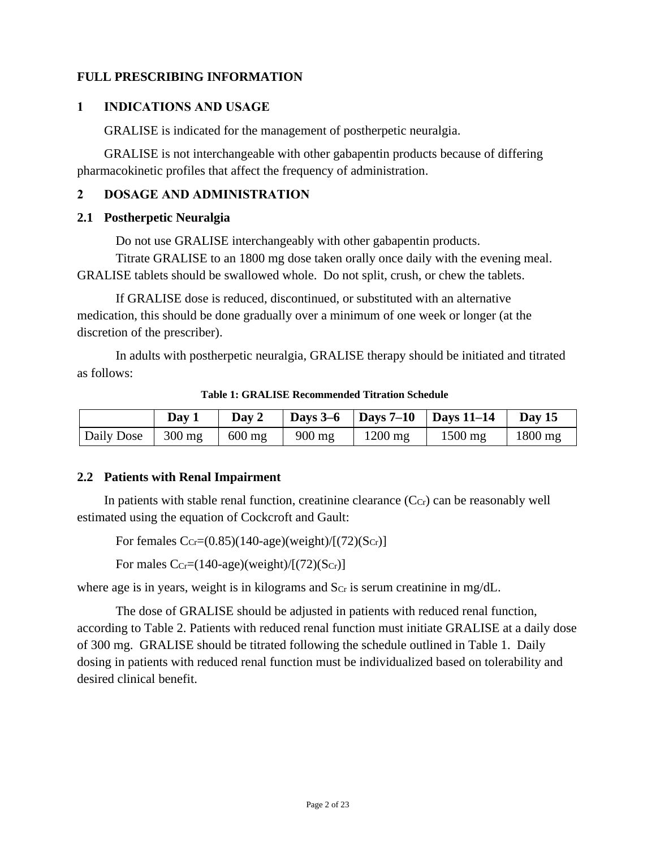## **FULL PRESCRIBING INFORMATION**

### **1 INDICATIONS AND USAGE**

GRALISE is indicated for the management of postherpetic neuralgia.

GRALISE is not interchangeable with other gabapentin products because of differing pharmacokinetic profiles that affect the frequency of administration.

### **2 DOSAGE AND ADMINISTRATION**

#### **2.1 Postherpetic Neuralgia**

Do not use GRALISE interchangeably with other gabapentin products.

Titrate GRALISE to an 1800 mg dose taken orally once daily with the evening meal. GRALISE tablets should be swallowed whole. Do not split, crush, or chew the tablets.

If GRALISE dose is reduced, discontinued, or substituted with an alternative medication, this should be done gradually over a minimum of one week or longer (at the discretion of the prescriber).

In adults with postherpetic neuralgia, GRALISE therapy should be initiated and titrated as follows:

|                     | Day 1 | Day 2            |                                         |           | Days 3–6   Days 7–10   Days 11–14 | <b>Day 15</b> |
|---------------------|-------|------------------|-----------------------------------------|-----------|-----------------------------------|---------------|
| Daily Dose   300 mg |       | $600 \text{ mg}$ | $\frac{900 \text{ mg}}{200 \text{ mg}}$ | $1200$ mg | $1500$ mg                         | $1800$ mg     |

**Table 1: GRALISE Recommended Titration Schedule**

### **2.2 Patients with Renal Impairment**

In patients with stable renal function, creatinine clearance  $(C<sub>cr</sub>)$  can be reasonably well estimated using the equation of Cockcroft and Gault:

For females  $C_{Cr} = (0.85)(140 \text{-} age)(weight)/[(72)(S_{Cr})]$ 

For males  $C_{Cr} = (140 \text{-age})(weight)/(72)(S_{Cr})$ 

where age is in years, weight is in kilograms and  $S_{Cr}$  is serum creatinine in mg/dL.

The dose of GRALISE should be adjusted in patients with reduced renal function, according to Table 2. Patients with reduced renal function must initiate GRALISE at a daily dose of 300 mg. GRALISE should be titrated following the schedule outlined in Table 1. Daily dosing in patients with reduced renal function must be individualized based on tolerability and desired clinical benefit.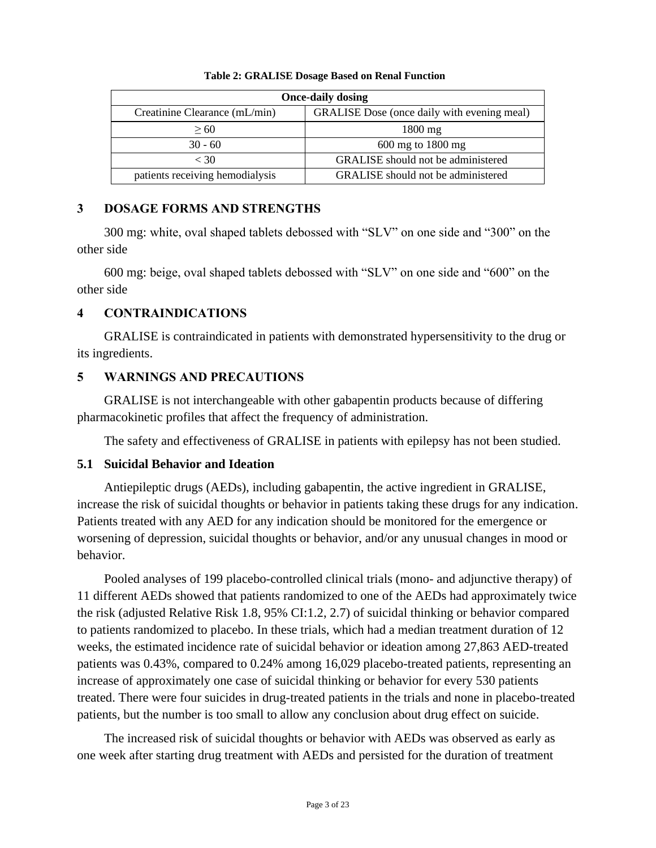| <b>Once-daily dosing</b>        |                                             |  |  |
|---------------------------------|---------------------------------------------|--|--|
| Creatinine Clearance (mL/min)   | GRALISE Dose (once daily with evening meal) |  |  |
| > 60                            | $1800 \text{ mg}$                           |  |  |
| $30 - 60$                       | $600$ mg to 1800 mg                         |  |  |
| $<$ 30                          | <b>GRALISE</b> should not be administered   |  |  |
| patients receiving hemodialysis | GRALISE should not be administered          |  |  |

#### **Table 2: GRALISE Dosage Based on Renal Function**

#### **3 DOSAGE FORMS AND STRENGTHS**

300 mg: white, oval shaped tablets debossed with "SLV" on one side and "300" on the other side

600 mg: beige, oval shaped tablets debossed with "SLV" on one side and "600" on the other side

### **4 CONTRAINDICATIONS**

GRALISE is contraindicated in patients with demonstrated hypersensitivity to the drug or its ingredients.

### **5 WARNINGS AND PRECAUTIONS**

GRALISE is not interchangeable with other gabapentin products because of differing pharmacokinetic profiles that affect the frequency of administration.

The safety and effectiveness of GRALISE in patients with epilepsy has not been studied.

#### **5.1 Suicidal Behavior and Ideation**

Antiepileptic drugs (AEDs), including gabapentin, the active ingredient in GRALISE, increase the risk of suicidal thoughts or behavior in patients taking these drugs for any indication. Patients treated with any AED for any indication should be monitored for the emergence or worsening of depression, suicidal thoughts or behavior, and/or any unusual changes in mood or behavior.

Pooled analyses of 199 placebo-controlled clinical trials (mono- and adjunctive therapy) of 11 different AEDs showed that patients randomized to one of the AEDs had approximately twice the risk (adjusted Relative Risk 1.8, 95% CI:1.2, 2.7) of suicidal thinking or behavior compared to patients randomized to placebo. In these trials, which had a median treatment duration of 12 weeks, the estimated incidence rate of suicidal behavior or ideation among 27,863 AED-treated patients was 0.43%, compared to 0.24% among 16,029 placebo-treated patients, representing an increase of approximately one case of suicidal thinking or behavior for every 530 patients treated. There were four suicides in drug-treated patients in the trials and none in placebo-treated patients, but the number is too small to allow any conclusion about drug effect on suicide.

The increased risk of suicidal thoughts or behavior with AEDs was observed as early as one week after starting drug treatment with AEDs and persisted for the duration of treatment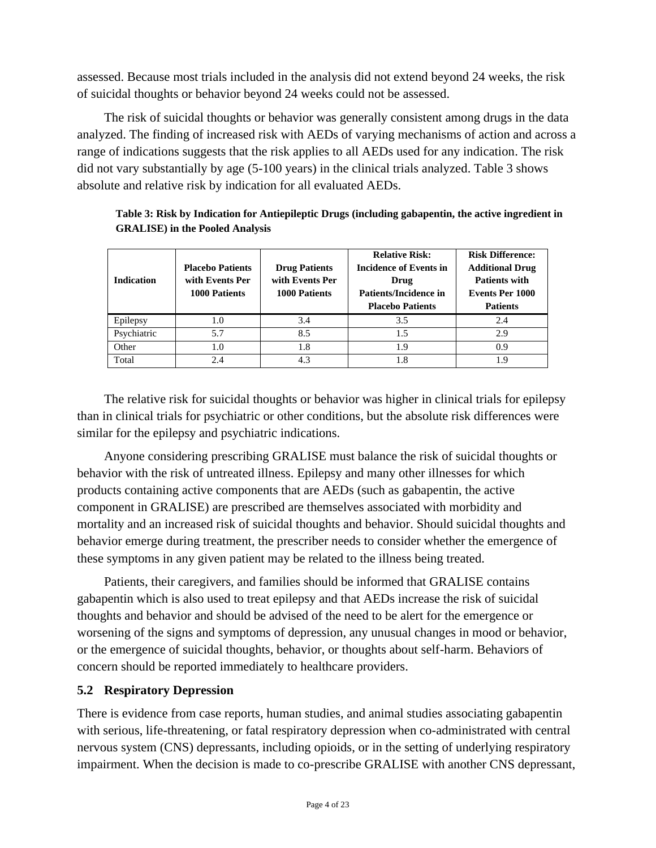assessed. Because most trials included in the analysis did not extend beyond 24 weeks, the risk of suicidal thoughts or behavior beyond 24 weeks could not be assessed.

The risk of suicidal thoughts or behavior was generally consistent among drugs in the data analyzed. The finding of increased risk with AEDs of varying mechanisms of action and across a range of indications suggests that the risk applies to all AEDs used for any indication. The risk did not vary substantially by age (5-100 years) in the clinical trials analyzed. Table 3 shows absolute and relative risk by indication for all evaluated AEDs.

| Table 3: Risk by Indication for Antiepileptic Drugs (including gabapentin, the active ingredient in |
|-----------------------------------------------------------------------------------------------------|
| <b>GRALISE</b> ) in the Pooled Analysis                                                             |

| <b>Indication</b> | <b>Placebo Patients</b><br>with Events Per<br>1000 Patients | <b>Drug Patients</b><br>with Events Per<br>1000 Patients | <b>Relative Risk:</b><br>Incidence of Events in<br>Drug<br>Patients/Incidence in<br><b>Placebo Patients</b> | <b>Risk Difference:</b><br><b>Additional Drug</b><br><b>Patients with</b><br>Events Per 1000<br><b>Patients</b> |
|-------------------|-------------------------------------------------------------|----------------------------------------------------------|-------------------------------------------------------------------------------------------------------------|-----------------------------------------------------------------------------------------------------------------|
| Epilepsy          | 1.0                                                         | 3.4                                                      | 3.5                                                                                                         | 2.4                                                                                                             |
| Psychiatric       | 5.7                                                         | 8.5                                                      | 1.5                                                                                                         | 2.9                                                                                                             |
| Other             | 1.0                                                         | 1.8                                                      | 1.9                                                                                                         | 0.9                                                                                                             |
| Total             | 2.4                                                         | 4.3                                                      | 1.8                                                                                                         | 19                                                                                                              |

The relative risk for suicidal thoughts or behavior was higher in clinical trials for epilepsy than in clinical trials for psychiatric or other conditions, but the absolute risk differences were similar for the epilepsy and psychiatric indications.

Anyone considering prescribing GRALISE must balance the risk of suicidal thoughts or behavior with the risk of untreated illness. Epilepsy and many other illnesses for which products containing active components that are AEDs (such as gabapentin, the active component in GRALISE) are prescribed are themselves associated with morbidity and mortality and an increased risk of suicidal thoughts and behavior. Should suicidal thoughts and behavior emerge during treatment, the prescriber needs to consider whether the emergence of these symptoms in any given patient may be related to the illness being treated.

Patients, their caregivers, and families should be informed that GRALISE contains gabapentin which is also used to treat epilepsy and that AEDs increase the risk of suicidal thoughts and behavior and should be advised of the need to be alert for the emergence or worsening of the signs and symptoms of depression, any unusual changes in mood or behavior, or the emergence of suicidal thoughts, behavior, or thoughts about self-harm. Behaviors of concern should be reported immediately to healthcare providers.

### **5.2 Respiratory Depression**

There is evidence from case reports, human studies, and animal studies associating gabapentin with serious, life-threatening, or fatal respiratory depression when co-administrated with central nervous system (CNS) depressants, including opioids, or in the setting of underlying respiratory impairment. When the decision is made to co-prescribe GRALISE with another CNS depressant,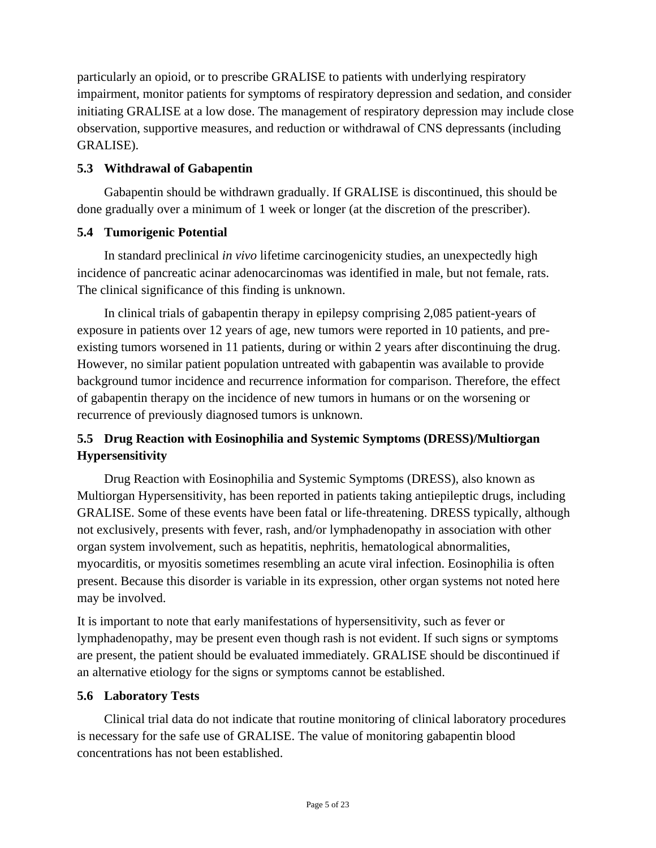particularly an opioid, or to prescribe GRALISE to patients with underlying respiratory impairment, monitor patients for symptoms of respiratory depression and sedation, and consider initiating GRALISE at a low dose. The management of respiratory depression may include close observation, supportive measures, and reduction or withdrawal of CNS depressants (including GRALISE).

## **5.3 Withdrawal of Gabapentin**

Gabapentin should be withdrawn gradually. If GRALISE is discontinued, this should be done gradually over a minimum of 1 week or longer (at the discretion of the prescriber).

## **5.4 Tumorigenic Potential**

In standard preclinical *in vivo* lifetime carcinogenicity studies, an unexpectedly high incidence of pancreatic acinar adenocarcinomas was identified in male, but not female, rats. The clinical significance of this finding is unknown.

In clinical trials of gabapentin therapy in epilepsy comprising 2,085 patient-years of exposure in patients over 12 years of age, new tumors were reported in 10 patients, and preexisting tumors worsened in 11 patients, during or within 2 years after discontinuing the drug. However, no similar patient population untreated with gabapentin was available to provide background tumor incidence and recurrence information for comparison. Therefore, the effect of gabapentin therapy on the incidence of new tumors in humans or on the worsening or recurrence of previously diagnosed tumors is unknown.

## **5.5 Drug Reaction with Eosinophilia and Systemic Symptoms (DRESS)/Multiorgan Hypersensitivity**

Drug Reaction with Eosinophilia and Systemic Symptoms (DRESS), also known as Multiorgan Hypersensitivity, has been reported in patients taking antiepileptic drugs, including GRALISE. Some of these events have been fatal or life-threatening. DRESS typically, although not exclusively, presents with fever, rash, and/or lymphadenopathy in association with other organ system involvement, such as hepatitis, nephritis, hematological abnormalities, myocarditis, or myositis sometimes resembling an acute viral infection. Eosinophilia is often present. Because this disorder is variable in its expression, other organ systems not noted here may be involved.

It is important to note that early manifestations of hypersensitivity, such as fever or lymphadenopathy, may be present even though rash is not evident. If such signs or symptoms are present, the patient should be evaluated immediately. GRALISE should be discontinued if an alternative etiology for the signs or symptoms cannot be established.

### **5.6 Laboratory Tests**

Clinical trial data do not indicate that routine monitoring of clinical laboratory procedures is necessary for the safe use of GRALISE. The value of monitoring gabapentin blood concentrations has not been established.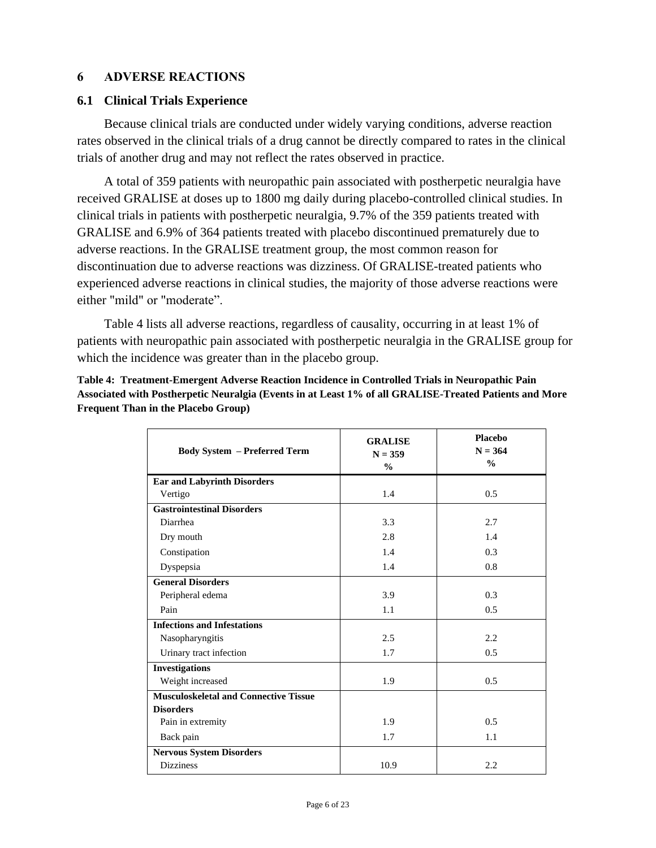#### **6 ADVERSE REACTIONS**

#### **6.1 Clinical Trials Experience**

Because clinical trials are conducted under widely varying conditions, adverse reaction rates observed in the clinical trials of a drug cannot be directly compared to rates in the clinical trials of another drug and may not reflect the rates observed in practice.

A total of 359 patients with neuropathic pain associated with postherpetic neuralgia have received GRALISE at doses up to 1800 mg daily during placebo-controlled clinical studies. In clinical trials in patients with postherpetic neuralgia, 9.7% of the 359 patients treated with GRALISE and 6.9% of 364 patients treated with placebo discontinued prematurely due to adverse reactions. In the GRALISE treatment group, the most common reason for discontinuation due to adverse reactions was dizziness. Of GRALISE-treated patients who experienced adverse reactions in clinical studies, the majority of those adverse reactions were either "mild" or "moderate".

Table 4 lists all adverse reactions, regardless of causality, occurring in at least 1% of patients with neuropathic pain associated with postherpetic neuralgia in the GRALISE group for which the incidence was greater than in the placebo group.

| <b>Body System - Preferred Term</b>          | <b>GRALISE</b><br>$N = 359$<br>$\frac{0}{0}$ | Placebo<br>$N = 364$<br>$\frac{0}{0}$ |
|----------------------------------------------|----------------------------------------------|---------------------------------------|
| <b>Ear and Labyrinth Disorders</b>           |                                              |                                       |
| Vertigo                                      | 1.4                                          | 0.5                                   |
| <b>Gastrointestinal Disorders</b>            |                                              |                                       |
| Diarrhea                                     | 3.3                                          | 2.7                                   |
| Dry mouth                                    | 2.8                                          | 1.4                                   |
| Constipation                                 | 1.4                                          | 0.3                                   |
| Dyspepsia                                    | 1.4                                          | 0.8                                   |
| <b>General Disorders</b>                     |                                              |                                       |
| Peripheral edema                             | 3.9                                          | 0.3                                   |
| Pain                                         | 1.1                                          | 0.5                                   |
| <b>Infections and Infestations</b>           |                                              |                                       |
| Nasopharyngitis                              | 2.5                                          | 2.2                                   |
| Urinary tract infection                      | 1.7                                          | 0.5                                   |
| <b>Investigations</b>                        |                                              |                                       |
| Weight increased                             | 1.9                                          | 0.5                                   |
| <b>Musculoskeletal and Connective Tissue</b> |                                              |                                       |
| <b>Disorders</b>                             |                                              |                                       |
| Pain in extremity                            | 1.9                                          | 0.5                                   |
| Back pain                                    | 1.7                                          | 1.1                                   |
| <b>Nervous System Disorders</b>              |                                              |                                       |
| <b>Dizziness</b>                             | 10.9                                         | 2.2                                   |

**Table 4: Treatment-Emergent Adverse Reaction Incidence in Controlled Trials in Neuropathic Pain Associated with Postherpetic Neuralgia (Events in at Least 1% of all GRALISE-Treated Patients and More Frequent Than in the Placebo Group)**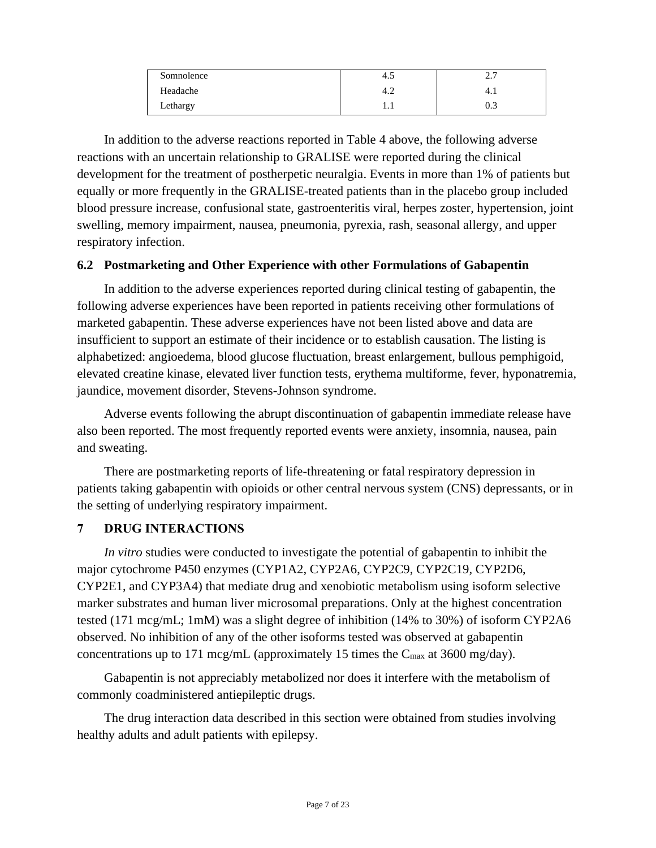| Somnolence | 4.J      | ↑ −<br>ا مط |
|------------|----------|-------------|
| Headache   | 4.∠      | 4.          |
| Lethargy   | $\cdots$ | 0.3         |

In addition to the adverse reactions reported in Table 4 above, the following adverse reactions with an uncertain relationship to GRALISE were reported during the clinical development for the treatment of postherpetic neuralgia. Events in more than 1% of patients but equally or more frequently in the GRALISE-treated patients than in the placebo group included blood pressure increase, confusional state, gastroenteritis viral, herpes zoster, hypertension, joint swelling, memory impairment, nausea, pneumonia, pyrexia, rash, seasonal allergy, and upper respiratory infection.

#### **6.2 Postmarketing and Other Experience with other Formulations of Gabapentin**

In addition to the adverse experiences reported during clinical testing of gabapentin, the following adverse experiences have been reported in patients receiving other formulations of marketed gabapentin. These adverse experiences have not been listed above and data are insufficient to support an estimate of their incidence or to establish causation. The listing is alphabetized: angioedema, blood glucose fluctuation, breast enlargement, bullous pemphigoid, elevated creatine kinase, elevated liver function tests, erythema multiforme, fever, hyponatremia, jaundice, movement disorder, Stevens-Johnson syndrome.

Adverse events following the abrupt discontinuation of gabapentin immediate release have also been reported. The most frequently reported events were anxiety, insomnia, nausea, pain and sweating.

There are postmarketing reports of life-threatening or fatal respiratory depression in patients taking gabapentin with opioids or other central nervous system (CNS) depressants, or in the setting of underlying respiratory impairment.

### **7 DRUG INTERACTIONS**

*In vitro* studies were conducted to investigate the potential of gabapentin to inhibit the major cytochrome P450 enzymes (CYP1A2, CYP2A6, CYP2C9, CYP2C19, CYP2D6, CYP2E1, and CYP3A4) that mediate drug and xenobiotic metabolism using isoform selective marker substrates and human liver microsomal preparations. Only at the highest concentration tested (171 mcg/mL; 1mM) was a slight degree of inhibition (14% to 30%) of isoform CYP2A6 observed. No inhibition of any of the other isoforms tested was observed at gabapentin concentrations up to 171 mcg/mL (approximately 15 times the  $C_{\text{max}}$  at 3600 mg/day).

Gabapentin is not appreciably metabolized nor does it interfere with the metabolism of commonly coadministered antiepileptic drugs.

The drug interaction data described in this section were obtained from studies involving healthy adults and adult patients with epilepsy.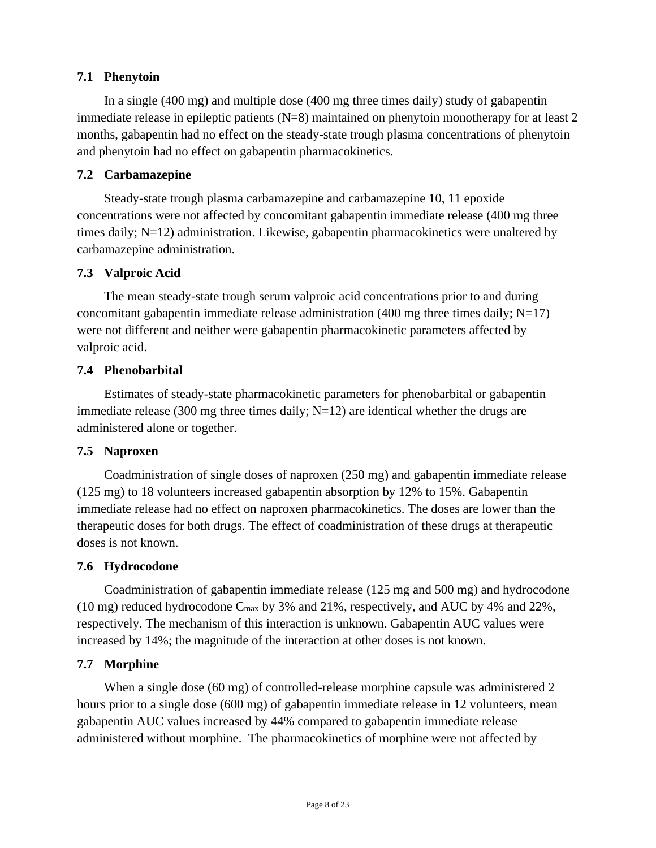## **7.1 Phenytoin**

In a single (400 mg) and multiple dose (400 mg three times daily) study of gabapentin immediate release in epileptic patients (N=8) maintained on phenytoin monotherapy for at least 2 months, gabapentin had no effect on the steady-state trough plasma concentrations of phenytoin and phenytoin had no effect on gabapentin pharmacokinetics.

### **7.2 Carbamazepine**

Steady-state trough plasma carbamazepine and carbamazepine 10, 11 epoxide concentrations were not affected by concomitant gabapentin immediate release (400 mg three times daily; N=12) administration. Likewise, gabapentin pharmacokinetics were unaltered by carbamazepine administration.

### **7.3 Valproic Acid**

The mean steady-state trough serum valproic acid concentrations prior to and during concomitant gabapentin immediate release administration (400 mg three times daily;  $N=17$ ) were not different and neither were gabapentin pharmacokinetic parameters affected by valproic acid.

### **7.4 Phenobarbital**

Estimates of steady-state pharmacokinetic parameters for phenobarbital or gabapentin immediate release (300 mg three times daily;  $N=12$ ) are identical whether the drugs are administered alone or together.

### **7.5 Naproxen**

Coadministration of single doses of naproxen (250 mg) and gabapentin immediate release (125 mg) to 18 volunteers increased gabapentin absorption by 12% to 15%. Gabapentin immediate release had no effect on naproxen pharmacokinetics. The doses are lower than the therapeutic doses for both drugs. The effect of coadministration of these drugs at therapeutic doses is not known.

### **7.6 Hydrocodone**

Coadministration of gabapentin immediate release (125 mg and 500 mg) and hydrocodone (10 mg) reduced hydrocodone  $C_{\text{max}}$  by 3% and 21%, respectively, and AUC by 4% and 22%, respectively. The mechanism of this interaction is unknown. Gabapentin AUC values were increased by 14%; the magnitude of the interaction at other doses is not known.

### **7.7 Morphine**

When a single dose (60 mg) of controlled-release morphine capsule was administered 2 hours prior to a single dose (600 mg) of gabapentin immediate release in 12 volunteers, mean gabapentin AUC values increased by 44% compared to gabapentin immediate release administered without morphine. The pharmacokinetics of morphine were not affected by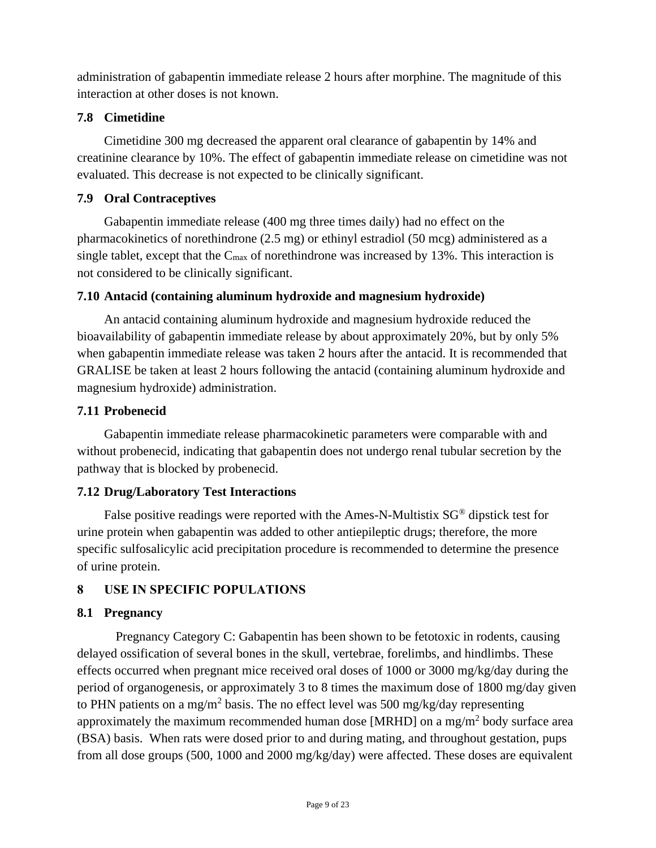administration of gabapentin immediate release 2 hours after morphine. The magnitude of this interaction at other doses is not known.

## **7.8 Cimetidine**

Cimetidine 300 mg decreased the apparent oral clearance of gabapentin by 14% and creatinine clearance by 10%. The effect of gabapentin immediate release on cimetidine was not evaluated. This decrease is not expected to be clinically significant.

## **7.9 Oral Contraceptives**

Gabapentin immediate release (400 mg three times daily) had no effect on the pharmacokinetics of norethindrone (2.5 mg) or ethinyl estradiol (50 mcg) administered as a single tablet, except that the  $C_{\text{max}}$  of norethindrone was increased by 13%. This interaction is not considered to be clinically significant.

## **7.10 Antacid (containing aluminum hydroxide and magnesium hydroxide)**

An antacid containing aluminum hydroxide and magnesium hydroxide reduced the bioavailability of gabapentin immediate release by about approximately 20%, but by only 5% when gabapentin immediate release was taken 2 hours after the antacid. It is recommended that GRALISE be taken at least 2 hours following the antacid (containing aluminum hydroxide and magnesium hydroxide) administration.

## **7.11 Probenecid**

Gabapentin immediate release pharmacokinetic parameters were comparable with and without probenecid, indicating that gabapentin does not undergo renal tubular secretion by the pathway that is blocked by probenecid.

## **7.12 Drug/Laboratory Test Interactions**

False positive readings were reported with the Ames-N-Multistix SG® dipstick test for urine protein when gabapentin was added to other antiepileptic drugs; therefore, the more specific sulfosalicylic acid precipitation procedure is recommended to determine the presence of urine protein.

## **8 USE IN SPECIFIC POPULATIONS**

## **8.1 Pregnancy**

Pregnancy Category C: Gabapentin has been shown to be fetotoxic in rodents, causing delayed ossification of several bones in the skull, vertebrae, forelimbs, and hindlimbs. These effects occurred when pregnant mice received oral doses of 1000 or 3000 mg/kg/day during the period of organogenesis, or approximately 3 to 8 times the maximum dose of 1800 mg/day given to PHN patients on a mg/m<sup>2</sup> basis. The no effect level was 500 mg/kg/day representing approximately the maximum recommended human dose [MRHD] on a mg/m<sup>2</sup> body surface area (BSA) basis. When rats were dosed prior to and during mating, and throughout gestation, pups from all dose groups (500, 1000 and 2000 mg/kg/day) were affected. These doses are equivalent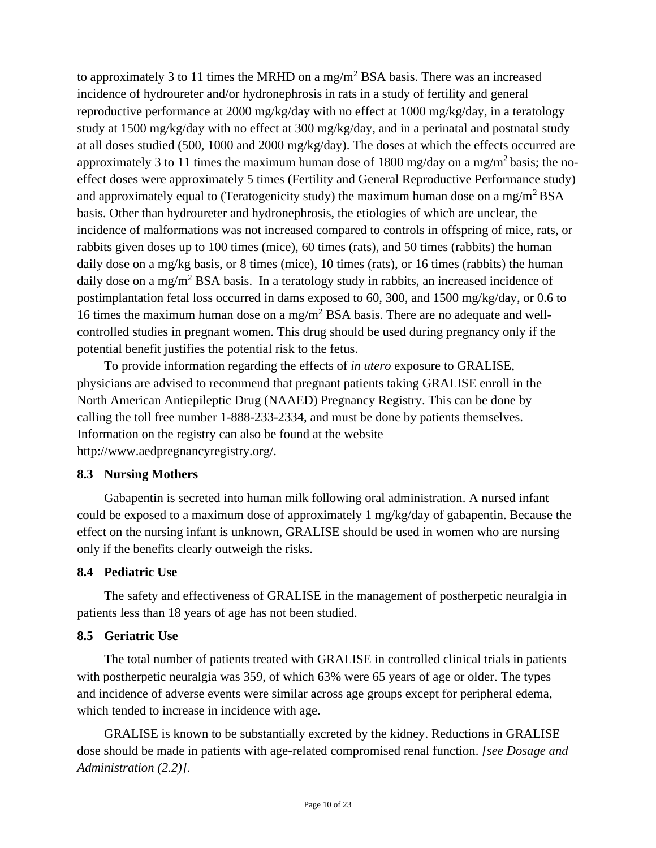to approximately 3 to 11 times the MRHD on a mg/m<sup>2</sup> BSA basis. There was an increased incidence of hydroureter and/or hydronephrosis in rats in a study of fertility and general reproductive performance at 2000 mg/kg/day with no effect at 1000 mg/kg/day, in a teratology study at 1500 mg/kg/day with no effect at 300 mg/kg/day, and in a perinatal and postnatal study at all doses studied (500, 1000 and 2000 mg/kg/day). The doses at which the effects occurred are approximately 3 to 11 times the maximum human dose of 1800 mg/day on a mg/m<sup>2</sup> basis; the noeffect doses were approximately 5 times (Fertility and General Reproductive Performance study) and approximately equal to (Teratogenicity study) the maximum human dose on a mg/m<sup>2</sup>BSA basis. Other than hydroureter and hydronephrosis, the etiologies of which are unclear, the incidence of malformations was not increased compared to controls in offspring of mice, rats, or rabbits given doses up to 100 times (mice), 60 times (rats), and 50 times (rabbits) the human daily dose on a mg/kg basis, or 8 times (mice), 10 times (rats), or 16 times (rabbits) the human daily dose on a mg/m<sup>2</sup> BSA basis. In a teratology study in rabbits, an increased incidence of postimplantation fetal loss occurred in dams exposed to 60, 300, and 1500 mg/kg/day, or 0.6 to 16 times the maximum human dose on a mg/m<sup>2</sup> BSA basis. There are no adequate and wellcontrolled studies in pregnant women. This drug should be used during pregnancy only if the potential benefit justifies the potential risk to the fetus.

To provide information regarding the effects of *in utero* exposure to GRALISE, physicians are advised to recommend that pregnant patients taking GRALISE enroll in the North American Antiepileptic Drug (NAAED) Pregnancy Registry. This can be done by calling the toll free number 1-888-233-2334, and must be done by patients themselves. Information on the registry can also be found at the website http://www.aedpregnancyregistry.org/.

#### **8.3 Nursing Mothers**

Gabapentin is secreted into human milk following oral administration. A nursed infant could be exposed to a maximum dose of approximately 1 mg/kg/day of gabapentin. Because the effect on the nursing infant is unknown, GRALISE should be used in women who are nursing only if the benefits clearly outweigh the risks.

### **8.4 Pediatric Use**

The safety and effectiveness of GRALISE in the management of postherpetic neuralgia in patients less than 18 years of age has not been studied.

### **8.5 Geriatric Use**

The total number of patients treated with GRALISE in controlled clinical trials in patients with postherpetic neuralgia was 359, of which 63% were 65 years of age or older. The types and incidence of adverse events were similar across age groups except for peripheral edema, which tended to increase in incidence with age.

GRALISE is known to be substantially excreted by the kidney. Reductions in GRALISE dose should be made in patients with age-related compromised renal function. *[see Dosage and Administration (2.2)]*.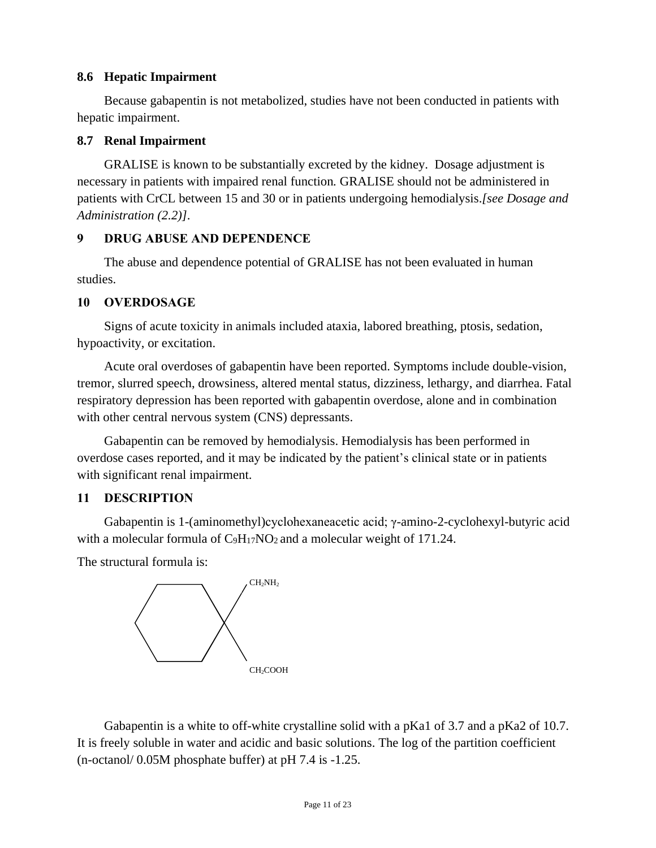#### **8.6 Hepatic Impairment**

Because gabapentin is not metabolized, studies have not been conducted in patients with hepatic impairment.

#### **8.7 Renal Impairment**

GRALISE is known to be substantially excreted by the kidney. Dosage adjustment is necessary in patients with impaired renal function*.* GRALISE should not be administered in patients with CrCL between 15 and 30 or in patients undergoing hemodialysis.*[see Dosage and Administration (2.2)]*.

### **9 DRUG ABUSE AND DEPENDENCE**

The abuse and dependence potential of GRALISE has not been evaluated in human studies.

#### **10 OVERDOSAGE**

Signs of acute toxicity in animals included ataxia, labored breathing, ptosis, sedation, hypoactivity, or excitation.

Acute oral overdoses of gabapentin have been reported. Symptoms include double-vision, tremor, slurred speech, drowsiness, altered mental status, dizziness, lethargy, and diarrhea. Fatal respiratory depression has been reported with gabapentin overdose, alone and in combination with other central nervous system (CNS) depressants.

Gabapentin can be removed by hemodialysis. Hemodialysis has been performed in overdose cases reported, and it may be indicated by the patient's clinical state or in patients with significant renal impairment.

### **11 DESCRIPTION**

Gabapentin is 1-(aminomethyl)cyclohexaneacetic acid; γ-amino-2-cyclohexyl-butyric acid with a molecular formula of C<sub>9</sub>H<sub>17</sub>NO<sub>2</sub> and a molecular weight of 171.24.

The structural formula is:



Gabapentin is a white to off-white crystalline solid with a pKa1 of 3.7 and a pKa2 of 10.7. It is freely soluble in water and acidic and basic solutions. The log of the partition coefficient (n-octanol/ 0.05M phosphate buffer) at pH 7.4 is -1.25.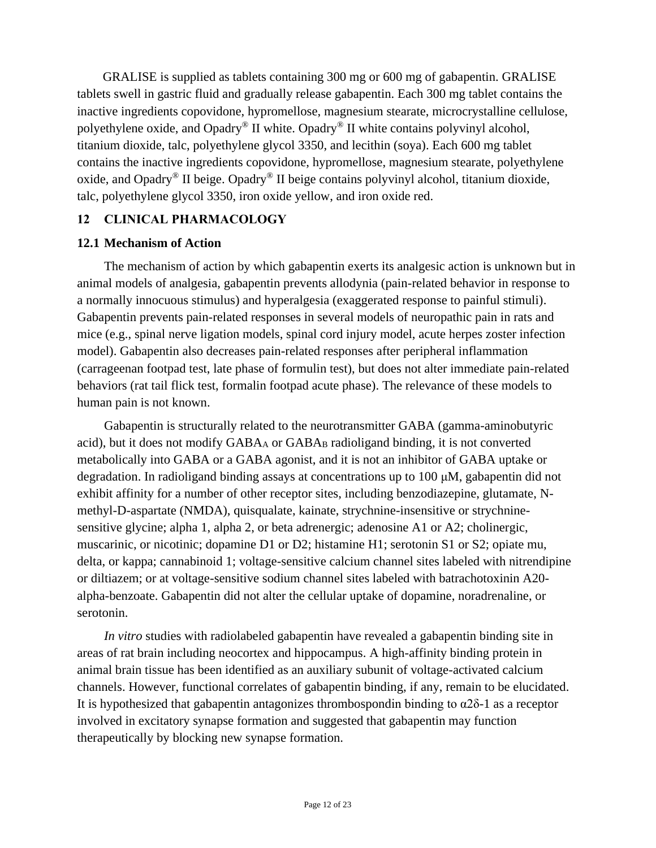GRALISE is supplied as tablets containing 300 mg or 600 mg of gabapentin. GRALISE tablets swell in gastric fluid and gradually release gabapentin. Each 300 mg tablet contains the inactive ingredients copovidone, hypromellose, magnesium stearate, microcrystalline cellulose, polyethylene oxide, and Opadry® II white. Opadry® II white contains polyvinyl alcohol, titanium dioxide, talc, polyethylene glycol 3350, and lecithin (soya). Each 600 mg tablet contains the inactive ingredients copovidone, hypromellose, magnesium stearate, polyethylene oxide, and Opadry® II beige. Opadry® II beige contains polyvinyl alcohol, titanium dioxide, talc, polyethylene glycol 3350, iron oxide yellow, and iron oxide red.

### **12 CLINICAL PHARMACOLOGY**

#### **12.1 Mechanism of Action**

The mechanism of action by which gabapentin exerts its analgesic action is unknown but in animal models of analgesia, gabapentin prevents allodynia (pain-related behavior in response to a normally innocuous stimulus) and hyperalgesia (exaggerated response to painful stimuli). Gabapentin prevents pain-related responses in several models of neuropathic pain in rats and mice (e.g., spinal nerve ligation models, spinal cord injury model, acute herpes zoster infection model). Gabapentin also decreases pain-related responses after peripheral inflammation (carrageenan footpad test, late phase of formulin test), but does not alter immediate pain-related behaviors (rat tail flick test, formalin footpad acute phase). The relevance of these models to human pain is not known.

Gabapentin is structurally related to the neurotransmitter GABA (gamma-aminobutyric acid), but it does not modify GABA<sub>A</sub> or GABA<sub>B</sub> radioligand binding, it is not converted metabolically into GABA or a GABA agonist, and it is not an inhibitor of GABA uptake or degradation. In radioligand binding assays at concentrations up to 100 μM, gabapentin did not exhibit affinity for a number of other receptor sites, including benzodiazepine, glutamate, Nmethyl-D-aspartate (NMDA), quisqualate, kainate, strychnine-insensitive or strychninesensitive glycine; alpha 1, alpha 2, or beta adrenergic; adenosine A1 or A2; cholinergic, muscarinic, or nicotinic; dopamine D1 or D2; histamine H1; serotonin S1 or S2; opiate mu, delta, or kappa; cannabinoid 1; voltage-sensitive calcium channel sites labeled with nitrendipine or diltiazem; or at voltage-sensitive sodium channel sites labeled with batrachotoxinin A20 alpha-benzoate. Gabapentin did not alter the cellular uptake of dopamine, noradrenaline, or serotonin.

*In vitro* studies with radiolabeled gabapentin have revealed a gabapentin binding site in areas of rat brain including neocortex and hippocampus. A high-affinity binding protein in animal brain tissue has been identified as an auxiliary subunit of voltage-activated calcium channels. However, functional correlates of gabapentin binding, if any, remain to be elucidated. It is hypothesized that gabapentin antagonizes thrombospondin binding to  $\alpha$ 2δ-1 as a receptor involved in excitatory synapse formation and suggested that gabapentin may function therapeutically by blocking new synapse formation.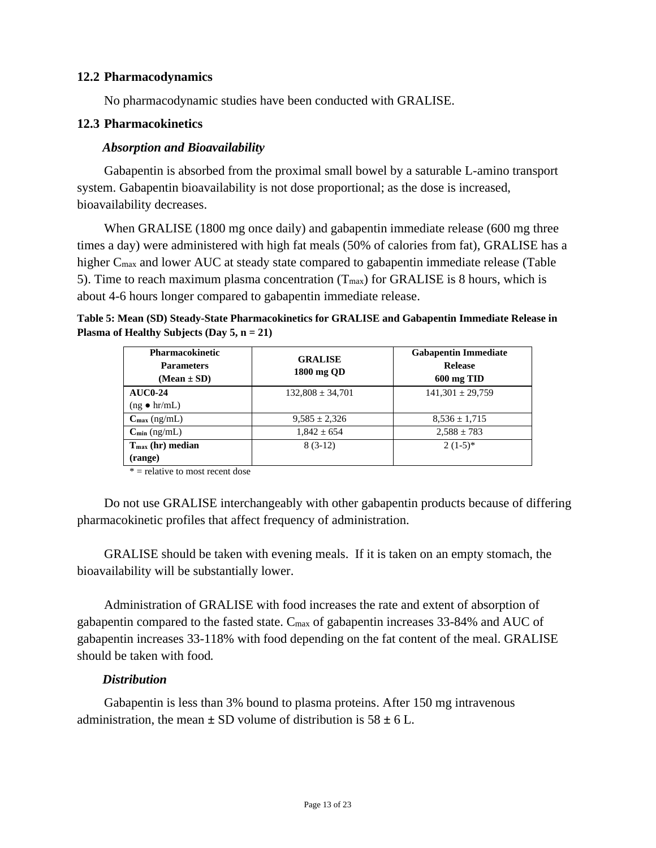#### **12.2 Pharmacodynamics**

No pharmacodynamic studies have been conducted with GRALISE.

#### **12.3 Pharmacokinetics**

#### *Absorption and Bioavailability*

Gabapentin is absorbed from the proximal small bowel by a saturable L-amino transport system. Gabapentin bioavailability is not dose proportional; as the dose is increased, bioavailability decreases.

When GRALISE (1800 mg once daily) and gabapentin immediate release (600 mg three times a day) were administered with high fat meals (50% of calories from fat), GRALISE has a higher C<sub>max</sub> and lower AUC at steady state compared to gabapentin immediate release (Table 5). Time to reach maximum plasma concentration  $(T_{\text{max}})$  for GRALISE is 8 hours, which is about 4-6 hours longer compared to gabapentin immediate release.

#### **Table 5: Mean (SD) Steady-State Pharmacokinetics for GRALISE and Gabapentin Immediate Release in Plasma of Healthy Subjects (Day 5, n = 21)**

| <b>Pharmacokinetic</b><br><b>Parameters</b><br>$(Mean \pm SD)$ | <b>GRALISE</b><br>1800 mg QD | <b>Gabapentin Immediate</b><br><b>Release</b><br>600 mg TID |
|----------------------------------------------------------------|------------------------------|-------------------------------------------------------------|
| $AUCO-24$                                                      | $132,808 \pm 34,701$         | $141,301 \pm 29,759$                                        |
| $(ng \bullet hr/mL)$                                           |                              |                                                             |
| $C_{\text{max}}$ (ng/mL)                                       | $9,585 \pm 2,326$            | $8,536 \pm 1,715$                                           |
| $C_{\min}$ (ng/mL)                                             | $1.842 \pm 654$              | $2.588 \pm 783$                                             |
| $T_{\text{max}}$ (hr) median                                   | $8(3-12)$                    | $2(1-5)*$                                                   |
| (range)                                                        |                              |                                                             |

 $*$  = relative to most recent dose

Do not use GRALISE interchangeably with other gabapentin products because of differing pharmacokinetic profiles that affect frequency of administration.

GRALISE should be taken with evening meals. If it is taken on an empty stomach, the bioavailability will be substantially lower.

Administration of GRALISE with food increases the rate and extent of absorption of gabapentin compared to the fasted state. Cmax of gabapentin increases 33-84% and AUC of gabapentin increases 33-118% with food depending on the fat content of the meal. GRALISE should be taken with food*.*

### *Distribution*

Gabapentin is less than 3% bound to plasma proteins. After 150 mg intravenous administration, the mean  $\pm$  SD volume of distribution is  $58 \pm 6$  L.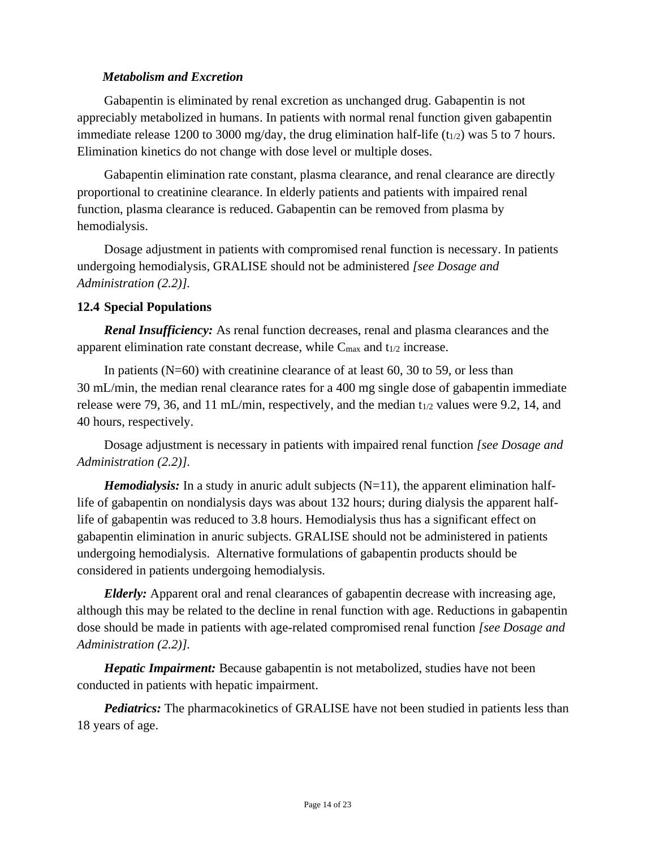#### *Metabolism and Excretion*

Gabapentin is eliminated by renal excretion as unchanged drug. Gabapentin is not appreciably metabolized in humans. In patients with normal renal function given gabapentin immediate release 1200 to 3000 mg/day, the drug elimination half-life  $(t_{1/2})$  was 5 to 7 hours. Elimination kinetics do not change with dose level or multiple doses.

Gabapentin elimination rate constant, plasma clearance, and renal clearance are directly proportional to creatinine clearance. In elderly patients and patients with impaired renal function, plasma clearance is reduced. Gabapentin can be removed from plasma by hemodialysis.

Dosage adjustment in patients with compromised renal function is necessary. In patients undergoing hemodialysis, GRALISE should not be administered *[see Dosage and Administration (2.2)].*

#### **12.4 Special Populations**

*Renal Insufficiency:* As renal function decreases, renal and plasma clearances and the apparent elimination rate constant decrease, while  $C_{\text{max}}$  and  $t_{1/2}$  increase.

In patients (N=60) with creatinine clearance of at least 60, 30 to 59, or less than 30 mL/min, the median renal clearance rates for a 400 mg single dose of gabapentin immediate release were 79, 36, and 11 mL/min, respectively, and the median  $t_{1/2}$  values were 9.2, 14, and 40 hours, respectively.

Dosage adjustment is necessary in patients with impaired renal function *[see Dosage and Administration (2.2)].*

*Hemodialysis:* In a study in anuric adult subjects (N=11), the apparent elimination halflife of gabapentin on nondialysis days was about 132 hours; during dialysis the apparent halflife of gabapentin was reduced to 3.8 hours. Hemodialysis thus has a significant effect on gabapentin elimination in anuric subjects. GRALISE should not be administered in patients undergoing hemodialysis. Alternative formulations of gabapentin products should be considered in patients undergoing hemodialysis.

*Elderly:* Apparent oral and renal clearances of gabapentin decrease with increasing age, although this may be related to the decline in renal function with age. Reductions in gabapentin dose should be made in patients with age-related compromised renal function *[see Dosage and Administration (2.2)].*

*Hepatic Impairment:* Because gabapentin is not metabolized, studies have not been conducted in patients with hepatic impairment.

*Pediatrics:* The pharmacokinetics of GRALISE have not been studied in patients less than 18 years of age.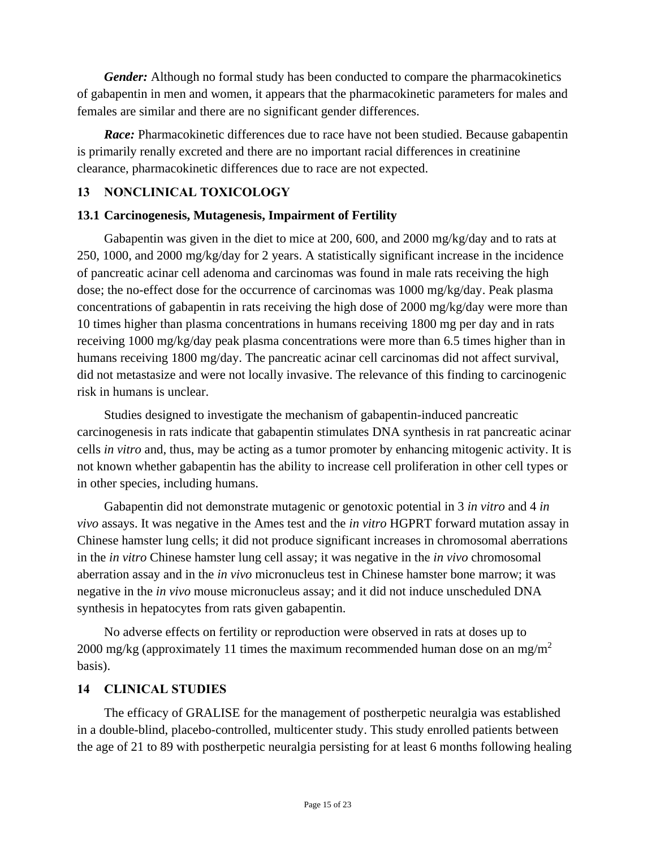*Gender:* Although no formal study has been conducted to compare the pharmacokinetics of gabapentin in men and women, it appears that the pharmacokinetic parameters for males and females are similar and there are no significant gender differences.

*Race:* Pharmacokinetic differences due to race have not been studied. Because gabapentin is primarily renally excreted and there are no important racial differences in creatinine clearance, pharmacokinetic differences due to race are not expected.

## **13 NONCLINICAL TOXICOLOGY**

### **13.1 Carcinogenesis, Mutagenesis, Impairment of Fertility**

Gabapentin was given in the diet to mice at 200, 600, and 2000 mg/kg/day and to rats at 250, 1000, and 2000 mg/kg/day for 2 years. A statistically significant increase in the incidence of pancreatic acinar cell adenoma and carcinomas was found in male rats receiving the high dose; the no-effect dose for the occurrence of carcinomas was 1000 mg/kg/day. Peak plasma concentrations of gabapentin in rats receiving the high dose of 2000 mg/kg/day were more than 10 times higher than plasma concentrations in humans receiving 1800 mg per day and in rats receiving 1000 mg/kg/day peak plasma concentrations were more than 6.5 times higher than in humans receiving 1800 mg/day. The pancreatic acinar cell carcinomas did not affect survival, did not metastasize and were not locally invasive. The relevance of this finding to carcinogenic risk in humans is unclear.

Studies designed to investigate the mechanism of gabapentin-induced pancreatic carcinogenesis in rats indicate that gabapentin stimulates DNA synthesis in rat pancreatic acinar cells *in vitro* and, thus, may be acting as a tumor promoter by enhancing mitogenic activity. It is not known whether gabapentin has the ability to increase cell proliferation in other cell types or in other species, including humans.

Gabapentin did not demonstrate mutagenic or genotoxic potential in 3 *in vitro* and 4 *in vivo* assays. It was negative in the Ames test and the *in vitro* HGPRT forward mutation assay in Chinese hamster lung cells; it did not produce significant increases in chromosomal aberrations in the *in vitro* Chinese hamster lung cell assay; it was negative in the *in vivo* chromosomal aberration assay and in the *in vivo* micronucleus test in Chinese hamster bone marrow; it was negative in the *in vivo* mouse micronucleus assay; and it did not induce unscheduled DNA synthesis in hepatocytes from rats given gabapentin.

No adverse effects on fertility or reproduction were observed in rats at doses up to 2000 mg/kg (approximately 11 times the maximum recommended human dose on an mg/m<sup>2</sup> basis).

### **14 CLINICAL STUDIES**

The efficacy of GRALISE for the management of postherpetic neuralgia was established in a double-blind, placebo-controlled, multicenter study. This study enrolled patients between the age of 21 to 89 with postherpetic neuralgia persisting for at least 6 months following healing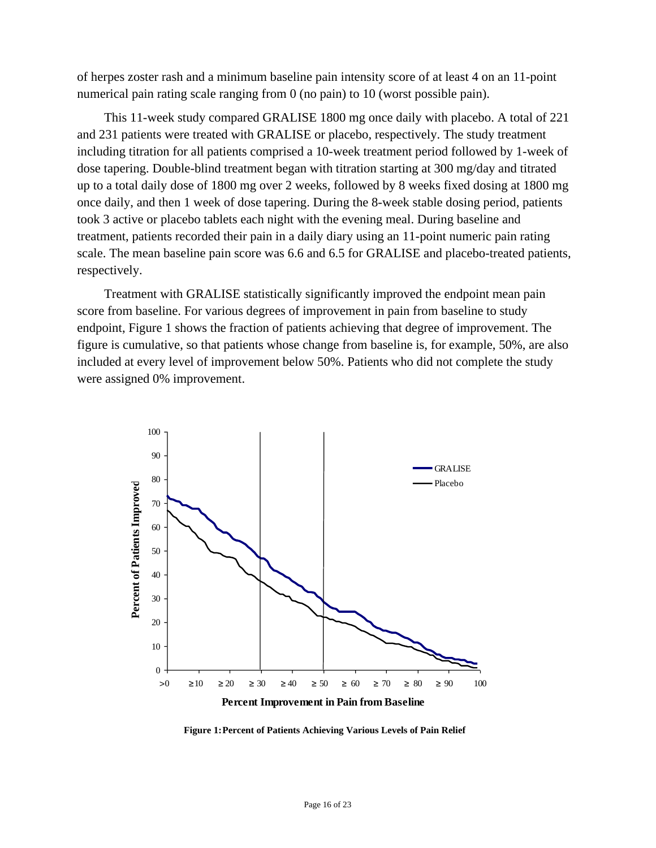of herpes zoster rash and a minimum baseline pain intensity score of at least 4 on an 11-point numerical pain rating scale ranging from 0 (no pain) to 10 (worst possible pain).

This 11-week study compared GRALISE 1800 mg once daily with placebo. A total of 221 and 231 patients were treated with GRALISE or placebo, respectively. The study treatment including titration for all patients comprised a 10-week treatment period followed by 1-week of dose tapering. Double-blind treatment began with titration starting at 300 mg/day and titrated up to a total daily dose of 1800 mg over 2 weeks, followed by 8 weeks fixed dosing at 1800 mg once daily, and then 1 week of dose tapering. During the 8-week stable dosing period, patients took 3 active or placebo tablets each night with the evening meal. During baseline and treatment, patients recorded their pain in a daily diary using an 11-point numeric pain rating scale. The mean baseline pain score was 6.6 and 6.5 for GRALISE and placebo-treated patients, respectively.

Treatment with GRALISE statistically significantly improved the endpoint mean pain score from baseline. For various degrees of improvement in pain from baseline to study endpoint, Figure 1 shows the fraction of patients achieving that degree of improvement. The figure is cumulative, so that patients whose change from baseline is, for example, 50%, are also included at every level of improvement below 50%. Patients who did not complete the study were assigned 0% improvement.



**Figure 1:Percent of Patients Achieving Various Levels of Pain Relief**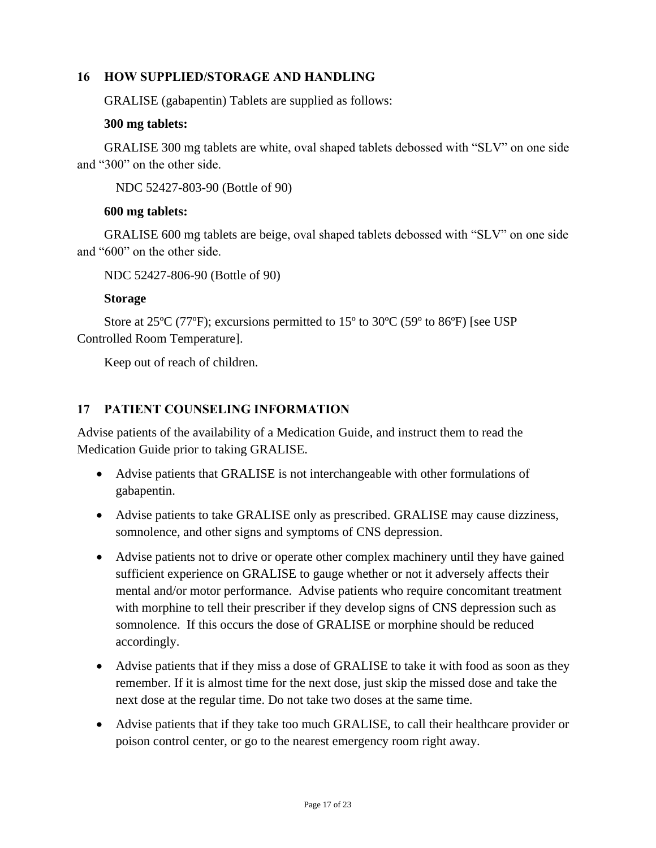#### **16 HOW SUPPLIED/STORAGE AND HANDLING**

GRALISE (gabapentin) Tablets are supplied as follows:

#### **300 mg tablets:**

GRALISE 300 mg tablets are white, oval shaped tablets debossed with "SLV" on one side and "300" on the other side.

NDC 52427-803-90 (Bottle of 90)

#### **600 mg tablets:**

GRALISE 600 mg tablets are beige, oval shaped tablets debossed with "SLV" on one side and "600" on the other side.

NDC 52427-806-90 (Bottle of 90)

### **Storage**

Store at 25ºC (77ºF); excursions permitted to 15º to 30ºC (59º to 86ºF) [see USP Controlled Room Temperature].

Keep out of reach of children.

## **17 PATIENT COUNSELING INFORMATION**

Advise patients of the availability of a Medication Guide, and instruct them to read the Medication Guide prior to taking GRALISE.

- Advise patients that GRALISE is not interchangeable with other formulations of gabapentin.
- Advise patients to take GRALISE only as prescribed. GRALISE may cause dizziness, somnolence, and other signs and symptoms of CNS depression.
- Advise patients not to drive or operate other complex machinery until they have gained sufficient experience on GRALISE to gauge whether or not it adversely affects their mental and/or motor performance. Advise patients who require concomitant treatment with morphine to tell their prescriber if they develop signs of CNS depression such as somnolence. If this occurs the dose of GRALISE or morphine should be reduced accordingly.
- Advise patients that if they miss a dose of GRALISE to take it with food as soon as they remember. If it is almost time for the next dose, just skip the missed dose and take the next dose at the regular time. Do not take two doses at the same time.
- Advise patients that if they take too much GRALISE, to call their healthcare provider or poison control center, or go to the nearest emergency room right away.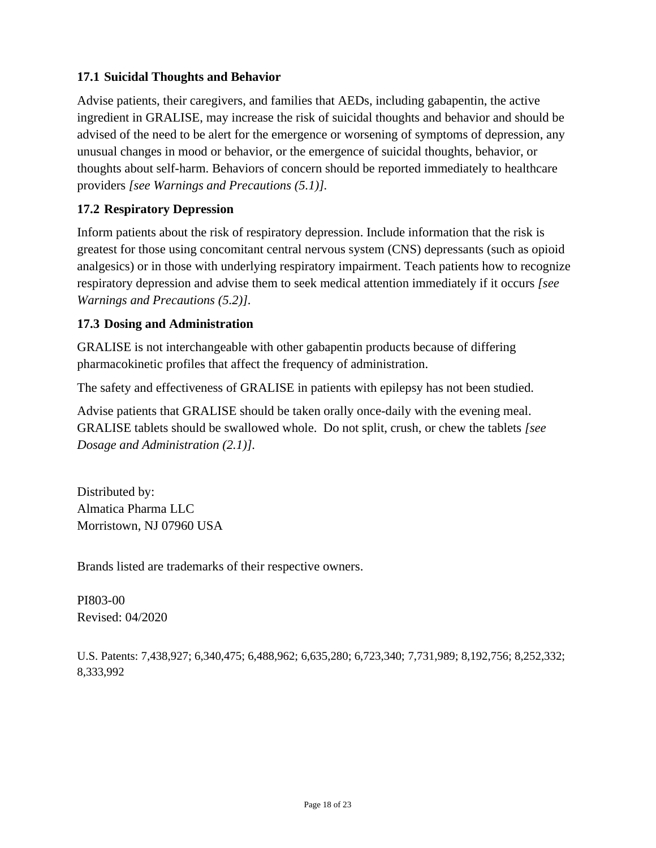## **17.1 Suicidal Thoughts and Behavior**

Advise patients, their caregivers, and families that AEDs, including gabapentin, the active ingredient in GRALISE, may increase the risk of suicidal thoughts and behavior and should be advised of the need to be alert for the emergence or worsening of symptoms of depression, any unusual changes in mood or behavior, or the emergence of suicidal thoughts, behavior, or thoughts about self-harm. Behaviors of concern should be reported immediately to healthcare providers *[see Warnings and Precautions (5.1)].*

### **17.2 Respiratory Depression**

Inform patients about the risk of respiratory depression. Include information that the risk is greatest for those using concomitant central nervous system (CNS) depressants (such as opioid analgesics) or in those with underlying respiratory impairment. Teach patients how to recognize respiratory depression and advise them to seek medical attention immediately if it occurs *[see Warnings and Precautions (5.2)].*

### **17.3 Dosing and Administration**

GRALISE is not interchangeable with other gabapentin products because of differing pharmacokinetic profiles that affect the frequency of administration.

The safety and effectiveness of GRALISE in patients with epilepsy has not been studied.

Advise patients that GRALISE should be taken orally once-daily with the evening meal. GRALISE tablets should be swallowed whole. Do not split, crush, or chew the tablets *[see Dosage and Administration (2.1)].*

Distributed by: Almatica Pharma LLC Morristown, NJ 07960 USA

Brands listed are trademarks of their respective owners.

PI803-00 Revised: 04/2020

U.S. Patents: 7,438,927; 6,340,475; 6,488,962; 6,635,280; 6,723,340; 7,731,989; 8,192,756; 8,252,332; 8,333,992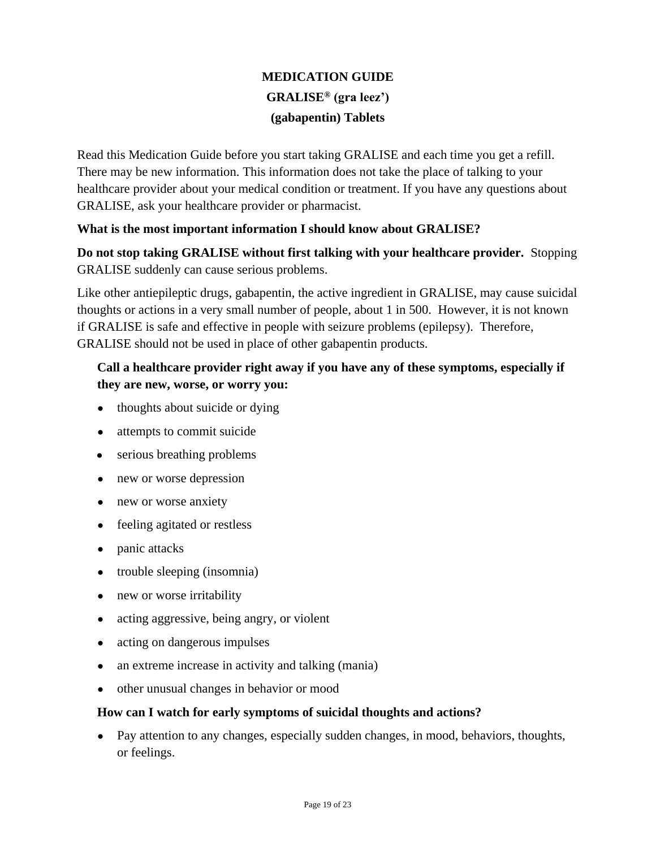# **MEDICATION GUIDE GRALISE® (gra leez') (gabapentin) Tablets**

Read this Medication Guide before you start taking GRALISE and each time you get a refill. There may be new information. This information does not take the place of talking to your healthcare provider about your medical condition or treatment. If you have any questions about GRALISE, ask your healthcare provider or pharmacist.

### **What is the most important information I should know about GRALISE?**

**Do not stop taking GRALISE without first talking with your healthcare provider.** Stopping GRALISE suddenly can cause serious problems.

Like other antiepileptic drugs, gabapentin, the active ingredient in GRALISE, may cause suicidal thoughts or actions in a very small number of people, about 1 in 500. However, it is not known if GRALISE is safe and effective in people with seizure problems (epilepsy). Therefore, GRALISE should not be used in place of other gabapentin products.

## **Call a healthcare provider right away if you have any of these symptoms, especially if they are new, worse, or worry you:**

- thoughts about suicide or dying
- attempts to commit suicide
- serious breathing problems
- new or worse depression
- new or worse anxiety
- feeling agitated or restless
- panic attacks
- trouble sleeping (insomnia)
- new or worse irritability
- acting aggressive, being angry, or violent
- acting on dangerous impulses
- an extreme increase in activity and talking (mania)
- other unusual changes in behavior or mood

### **How can I watch for early symptoms of suicidal thoughts and actions?**

• Pay attention to any changes, especially sudden changes, in mood, behaviors, thoughts, or feelings.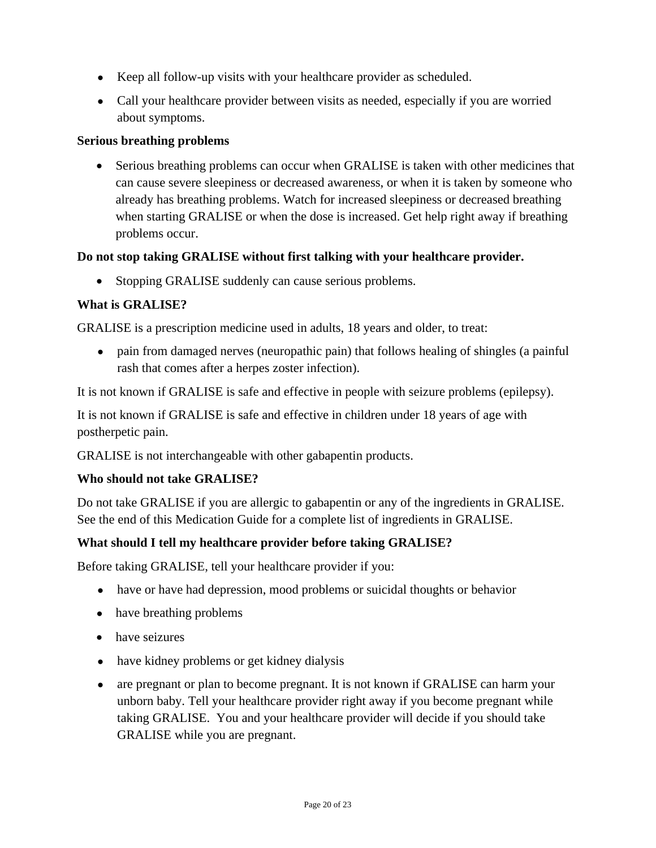- Keep all follow-up visits with your healthcare provider as scheduled.
- Call your healthcare provider between visits as needed, especially if you are worried about symptoms.

#### **Serious breathing problems**

• Serious breathing problems can occur when GRALISE is taken with other medicines that can cause severe sleepiness or decreased awareness, or when it is taken by someone who already has breathing problems. Watch for increased sleepiness or decreased breathing when starting GRALISE or when the dose is increased. Get help right away if breathing problems occur.

### **Do not stop taking GRALISE without first talking with your healthcare provider.**

• Stopping GRALISE suddenly can cause serious problems.

### **What is GRALISE?**

GRALISE is a prescription medicine used in adults, 18 years and older, to treat:

• pain from damaged nerves (neuropathic pain) that follows healing of shingles (a painful rash that comes after a herpes zoster infection).

It is not known if GRALISE is safe and effective in people with seizure problems (epilepsy).

It is not known if GRALISE is safe and effective in children under 18 years of age with postherpetic pain.

GRALISE is not interchangeable with other gabapentin products.

#### **Who should not take GRALISE?**

Do not take GRALISE if you are allergic to gabapentin or any of the ingredients in GRALISE. See the end of this Medication Guide for a complete list of ingredients in GRALISE.

#### **What should I tell my healthcare provider before taking GRALISE?**

Before taking GRALISE, tell your healthcare provider if you:

- have or have had depression, mood problems or suicidal thoughts or behavior
- have breathing problems
- have seizures
- have kidney problems or get kidney dialysis
- are pregnant or plan to become pregnant. It is not known if GRALISE can harm your unborn baby. Tell your healthcare provider right away if you become pregnant while taking GRALISE. You and your healthcare provider will decide if you should take GRALISE while you are pregnant.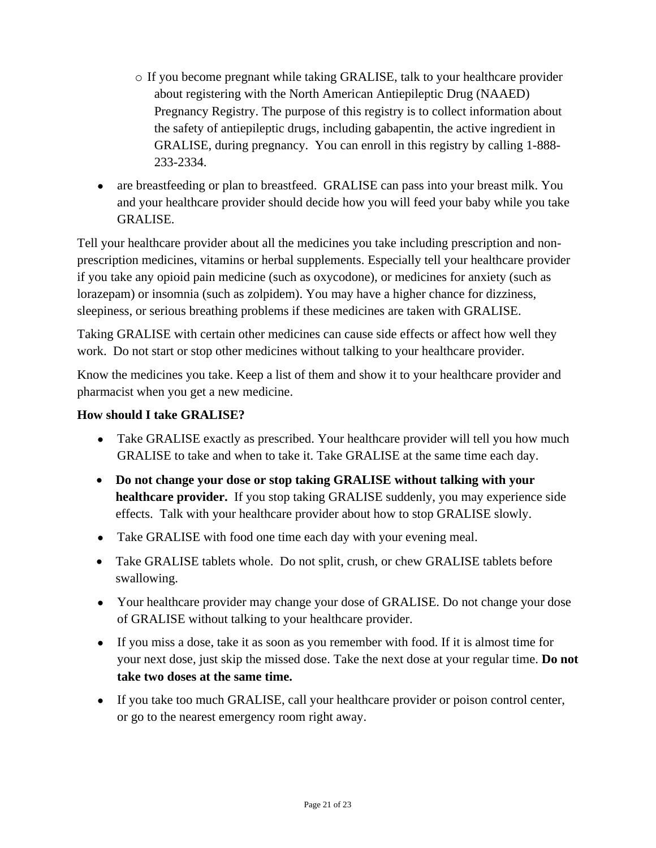- o If you become pregnant while taking GRALISE, talk to your healthcare provider about registering with the North American Antiepileptic Drug (NAAED) Pregnancy Registry. The purpose of this registry is to collect information about the safety of antiepileptic drugs, including gabapentin, the active ingredient in GRALISE, during pregnancy. You can enroll in this registry by calling 1-888- 233-2334.
- are breastfeeding or plan to breastfeed. GRALISE can pass into your breast milk. You and your healthcare provider should decide how you will feed your baby while you take GRALISE.

Tell your healthcare provider about all the medicines you take including prescription and nonprescription medicines, vitamins or herbal supplements. Especially tell your healthcare provider if you take any opioid pain medicine (such as oxycodone), or medicines for anxiety (such as lorazepam) or insomnia (such as zolpidem). You may have a higher chance for dizziness, sleepiness, or serious breathing problems if these medicines are taken with GRALISE.

Taking GRALISE with certain other medicines can cause side effects or affect how well they work. Do not start or stop other medicines without talking to your healthcare provider.

Know the medicines you take. Keep a list of them and show it to your healthcare provider and pharmacist when you get a new medicine.

## **How should I take GRALISE?**

- Take GRALISE exactly as prescribed. Your healthcare provider will tell you how much GRALISE to take and when to take it. Take GRALISE at the same time each day.
- **Do not change your dose or stop taking GRALISE without talking with your healthcare provider.** If you stop taking GRALISE suddenly, you may experience side effects. Talk with your healthcare provider about how to stop GRALISE slowly.
- Take GRALISE with food one time each day with your evening meal.
- Take GRALISE tablets whole. Do not split, crush, or chew GRALISE tablets before swallowing.
- Your healthcare provider may change your dose of GRALISE. Do not change your dose of GRALISE without talking to your healthcare provider.
- If you miss a dose, take it as soon as you remember with food. If it is almost time for your next dose, just skip the missed dose. Take the next dose at your regular time. **Do not take two doses at the same time.**
- If you take too much GRALISE, call your healthcare provider or poison control center, or go to the nearest emergency room right away.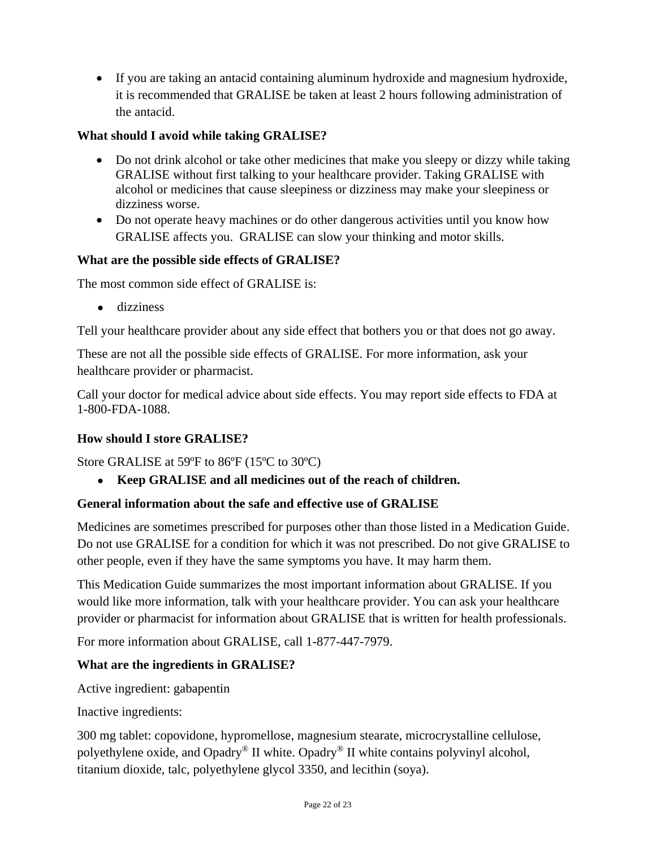• If you are taking an antacid containing aluminum hydroxide and magnesium hydroxide, it is recommended that GRALISE be taken at least 2 hours following administration of the antacid.

## **What should I avoid while taking GRALISE?**

- Do not drink alcohol or take other medicines that make you sleepy or dizzy while taking GRALISE without first talking to your healthcare provider. Taking GRALISE with alcohol or medicines that cause sleepiness or dizziness may make your sleepiness or dizziness worse.
- Do not operate heavy machines or do other dangerous activities until you know how GRALISE affects you.GRALISE can slow your thinking and motor skills.

### **What are the possible side effects of GRALISE?**

The most common side effect of GRALISE is:

● dizziness

Tell your healthcare provider about any side effect that bothers you or that does not go away.

These are not all the possible side effects of GRALISE. For more information, ask your healthcare provider or pharmacist.

Call your doctor for medical advice about side effects. You may report side effects to FDA at 1-800-FDA-1088.

## **How should I store GRALISE?**

Store GRALISE at 59ºF to 86ºF (15ºC to 30ºC)

● **Keep GRALISE and all medicines out of the reach of children.**

## **General information about the safe and effective use of GRALISE**

Medicines are sometimes prescribed for purposes other than those listed in a Medication Guide. Do not use GRALISE for a condition for which it was not prescribed. Do not give GRALISE to other people, even if they have the same symptoms you have. It may harm them.

This Medication Guide summarizes the most important information about GRALISE. If you would like more information, talk with your healthcare provider. You can ask your healthcare provider or pharmacist for information about GRALISE that is written for health professionals.

For more information about GRALISE, call 1-877-447-7979.

## **What are the ingredients in GRALISE?**

Active ingredient: gabapentin

Inactive ingredients:

300 mg tablet: copovidone, hypromellose, magnesium stearate, microcrystalline cellulose, polyethylene oxide, and Opadry® II white. Opadry® II white contains polyvinyl alcohol, titanium dioxide, talc, polyethylene glycol 3350, and lecithin (soya).